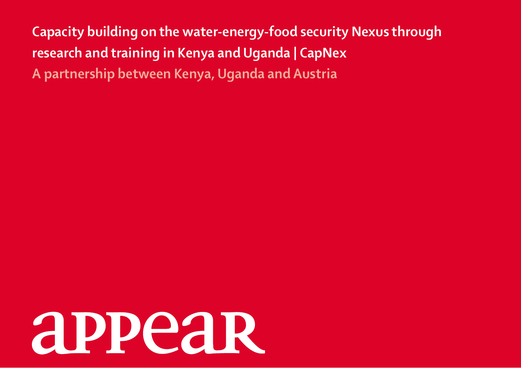**Capacity building on the water-energy-food security Nexus through research and training in Kenya and Uganda | CapNex A partnership between Kenya, Uganda and Austria**

# **appear**